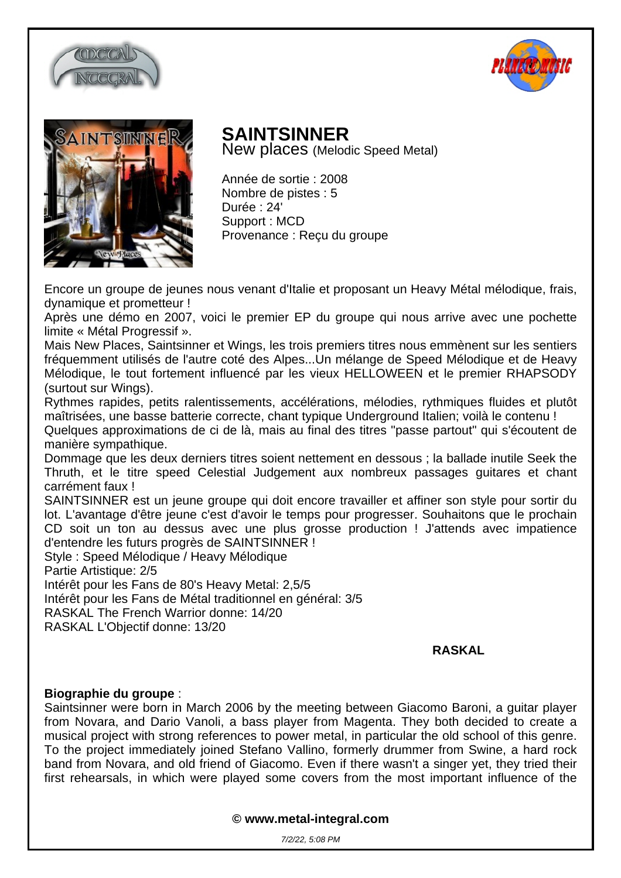





## **SAINTSINNER**

New places (Melodic Speed Metal)

Année de sortie : 2008 Nombre de pistes : 5 Durée : 24' Support : MCD Provenance : Reçu du groupe

Encore un groupe de jeunes nous venant d'Italie et proposant un Heavy Métal mélodique, frais, dynamique et prometteur !

Après une démo en 2007, voici le premier EP du groupe qui nous arrive avec une pochette limite « Métal Progressif ».

Mais New Places, Saintsinner et Wings, les trois premiers titres nous emmènent sur les sentiers fréquemment utilisés de l'autre coté des Alpes...Un mélange de Speed Mélodique et de Heavy Mélodique, le tout fortement influencé par les vieux HELLOWEEN et le premier RHAPSODY (surtout sur Wings).

Rythmes rapides, petits ralentissements, accélérations, mélodies, rythmiques fluides et plutôt maîtrisées, une basse batterie correcte, chant typique Underground Italien; voilà le contenu ! Quelques approximations de ci de là, mais au final des titres "passe partout" qui s'écoutent de

manière sympathique. Dommage que les deux derniers titres soient nettement en dessous ; la ballade inutile Seek the Thruth, et le titre speed Celestial Judgement aux nombreux passages guitares et chant carrément faux !

SAINTSINNER est un jeune groupe qui doit encore travailler et affiner son style pour sortir du lot. L'avantage d'être jeune c'est d'avoir le temps pour progresser. Souhaitons que le prochain CD soit un ton au dessus avec une plus grosse production ! J'attends avec impatience d'entendre les futurs progrès de SAINTSINNER !

Style : Speed Mélodique / Heavy Mélodique

Partie Artistique: 2/5

Intérêt pour les Fans de 80's Heavy Metal: 2,5/5

Intérêt pour les Fans de Métal traditionnel en général: 3/5

RASKAL The French Warrior donne: 14/20

RASKAL L'Objectif donne: 13/20

## **RASKAL**

## **Biographie du groupe** :

Saintsinner were born in March 2006 by the meeting between Giacomo Baroni, a guitar player from Novara, and Dario Vanoli, a bass player from Magenta. They both decided to create a musical project with strong references to power metal, in particular the old school of this genre. To the project immediately joined Stefano Vallino, formerly drummer from Swine, a hard rock band from Novara, and old friend of Giacomo. Even if there wasn't a singer yet, they tried their first rehearsals, in which were played some covers from the most important influence of the

**© www.metal-integral.com**

7/2/22, 5:08 PM